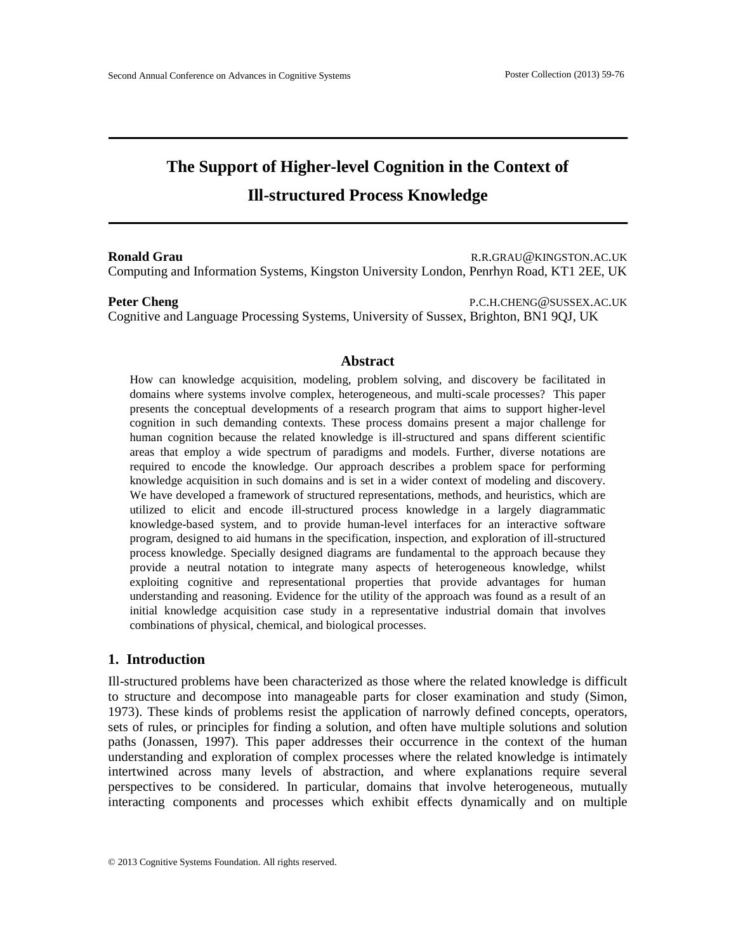# **The Support of Higher-level Cognition in the Context of Ill-structured Process Knowledge**

**Ronald Grau R.R.GRAU@KINGSTON.AC.UK** Computing and Information Systems, Kingston University London, Penrhyn Road, KT1 2EE, UK

**Peter Cheng** P.C.H.CHENG@SUSSEX.AC.UK Cognitive and Language Processing Systems, University of Sussex, Brighton, BN1 9QJ, UK

#### **Abstract**

How can knowledge acquisition, modeling, problem solving, and discovery be facilitated in domains where systems involve complex, heterogeneous, and multi-scale processes? This paper presents the conceptual developments of a research program that aims to support higher-level cognition in such demanding contexts. These process domains present a major challenge for human cognition because the related knowledge is ill-structured and spans different scientific areas that employ a wide spectrum of paradigms and models. Further, diverse notations are required to encode the knowledge. Our approach describes a problem space for performing knowledge acquisition in such domains and is set in a wider context of modeling and discovery. We have developed a framework of structured representations, methods, and heuristics, which are utilized to elicit and encode ill-structured process knowledge in a largely diagrammatic knowledge-based system, and to provide human-level interfaces for an interactive software program, designed to aid humans in the specification, inspection, and exploration of ill-structured process knowledge. Specially designed diagrams are fundamental to the approach because they provide a neutral notation to integrate many aspects of heterogeneous knowledge, whilst exploiting cognitive and representational properties that provide advantages for human understanding and reasoning. Evidence for the utility of the approach was found as a result of an initial knowledge acquisition case study in a representative industrial domain that involves combinations of physical, chemical, and biological processes.

#### **1. Introduction**

Ill-structured problems have been characterized as those where the related knowledge is difficult to structure and decompose into manageable parts for closer examination and study (Simon, 1973). These kinds of problems resist the application of narrowly defined concepts, operators, sets of rules, or principles for finding a solution, and often have multiple solutions and solution paths (Jonassen, 1997). This paper addresses their occurrence in the context of the human understanding and exploration of complex processes where the related knowledge is intimately intertwined across many levels of abstraction, and where explanations require several perspectives to be considered. In particular, domains that involve heterogeneous, mutually interacting components and processes which exhibit effects dynamically and on multiple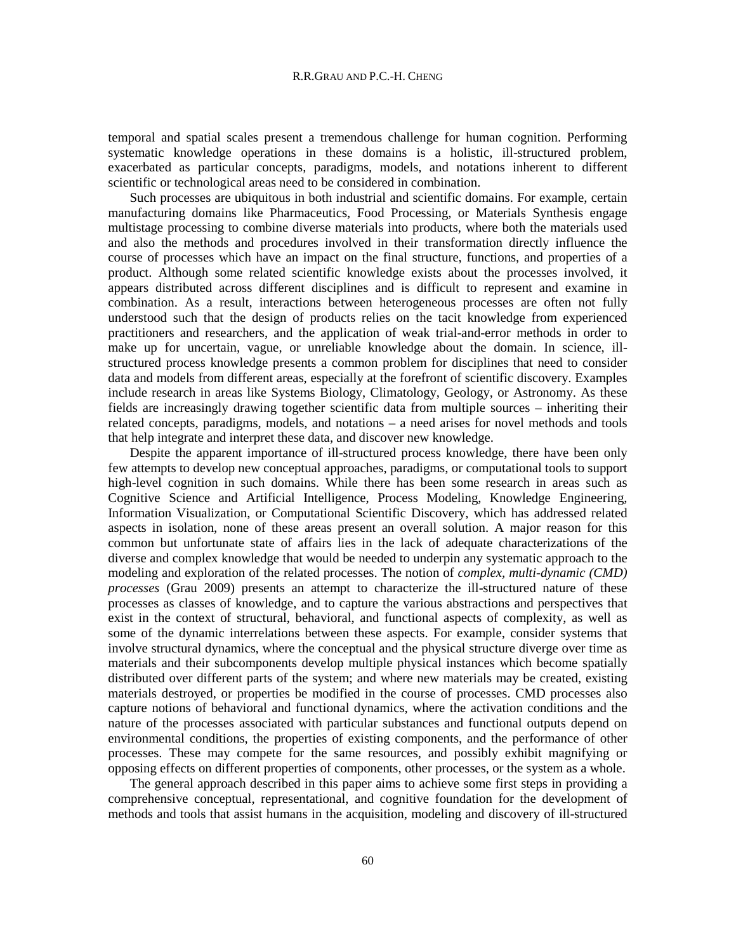temporal and spatial scales present a tremendous challenge for human cognition. Performing systematic knowledge operations in these domains is a holistic, ill-structured problem, exacerbated as particular concepts, paradigms, models, and notations inherent to different scientific or technological areas need to be considered in combination.

Such processes are ubiquitous in both industrial and scientific domains. For example, certain manufacturing domains like Pharmaceutics, Food Processing, or Materials Synthesis engage multistage processing to combine diverse materials into products, where both the materials used and also the methods and procedures involved in their transformation directly influence the course of processes which have an impact on the final structure, functions, and properties of a product. Although some related scientific knowledge exists about the processes involved, it appears distributed across different disciplines and is difficult to represent and examine in combination. As a result, interactions between heterogeneous processes are often not fully understood such that the design of products relies on the tacit knowledge from experienced practitioners and researchers, and the application of weak trial-and-error methods in order to make up for uncertain, vague, or unreliable knowledge about the domain. In science, illstructured process knowledge presents a common problem for disciplines that need to consider data and models from different areas, especially at the forefront of scientific discovery. Examples include research in areas like Systems Biology, Climatology, Geology, or Astronomy. As these fields are increasingly drawing together scientific data from multiple sources – inheriting their related concepts, paradigms, models, and notations – a need arises for novel methods and tools that help integrate and interpret these data, and discover new knowledge.

Despite the apparent importance of ill-structured process knowledge, there have been only few attempts to develop new conceptual approaches, paradigms, or computational tools to support high-level cognition in such domains. While there has been some research in areas such as Cognitive Science and Artificial Intelligence, Process Modeling, Knowledge Engineering, Information Visualization, or Computational Scientific Discovery, which has addressed related aspects in isolation, none of these areas present an overall solution. A major reason for this common but unfortunate state of affairs lies in the lack of adequate characterizations of the diverse and complex knowledge that would be needed to underpin any systematic approach to the modeling and exploration of the related processes. The notion of *complex, multi-dynamic (CMD) processes* (Grau 2009) presents an attempt to characterize the ill-structured nature of these processes as classes of knowledge, and to capture the various abstractions and perspectives that exist in the context of structural, behavioral, and functional aspects of complexity, as well as some of the dynamic interrelations between these aspects. For example, consider systems that involve structural dynamics, where the conceptual and the physical structure diverge over time as materials and their subcomponents develop multiple physical instances which become spatially distributed over different parts of the system; and where new materials may be created, existing materials destroyed, or properties be modified in the course of processes. CMD processes also capture notions of behavioral and functional dynamics, where the activation conditions and the nature of the processes associated with particular substances and functional outputs depend on environmental conditions, the properties of existing components, and the performance of other processes. These may compete for the same resources, and possibly exhibit magnifying or opposing effects on different properties of components, other processes, or the system as a whole.

The general approach described in this paper aims to achieve some first steps in providing a comprehensive conceptual, representational, and cognitive foundation for the development of methods and tools that assist humans in the acquisition, modeling and discovery of ill-structured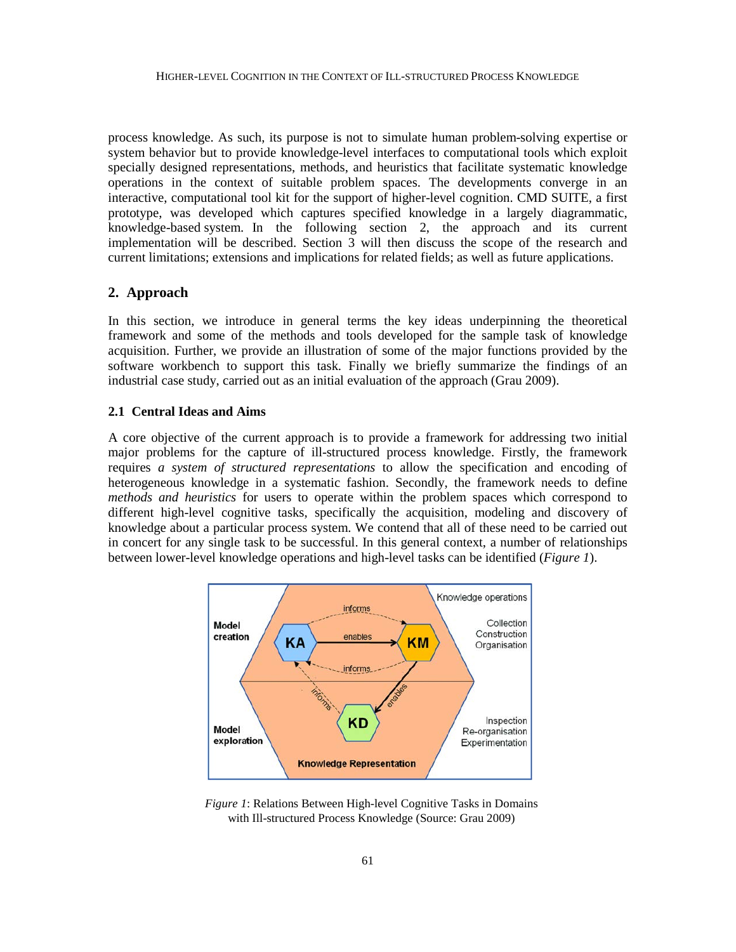process knowledge. As such, its purpose is not to simulate human problem-solving expertise or system behavior but to provide knowledge-level interfaces to computational tools which exploit specially designed representations, methods, and heuristics that facilitate systematic knowledge operations in the context of suitable problem spaces. The developments converge in an interactive, computational tool kit for the support of higher-level cognition. CMD SUITE, a first prototype, was developed which captures specified knowledge in a largely diagrammatic, knowledge-based system. In the following section 2, the approach and its current implementation will be described. Section 3 will then discuss the scope of the research and current limitations; extensions and implications for related fields; as well as future applications.

# **2. Approach**

In this section, we introduce in general terms the key ideas underpinning the theoretical framework and some of the methods and tools developed for the sample task of knowledge acquisition. Further, we provide an illustration of some of the major functions provided by the software workbench to support this task. Finally we briefly summarize the findings of an industrial case study, carried out as an initial evaluation of the approach (Grau 2009).

#### **2.1 Central Ideas and Aims**

A core objective of the current approach is to provide a framework for addressing two initial major problems for the capture of ill-structured process knowledge. Firstly, the framework requires *a system of structured representations* to allow the specification and encoding of heterogeneous knowledge in a systematic fashion. Secondly, the framework needs to define *methods and heuristics* for users to operate within the problem spaces which correspond to different high-level cognitive tasks, specifically the acquisition, modeling and discovery of knowledge about a particular process system. We contend that all of these need to be carried out in concert for any single task to be successful. In this general context, a number of relationships between lower-level knowledge operations and high-level tasks can be identified (*[Figure 1](#page-2-0)*).



<span id="page-2-0"></span>*Figure 1*: Relations Between High-level Cognitive Tasks in Domains with Ill-structured Process Knowledge (Source: Grau 2009)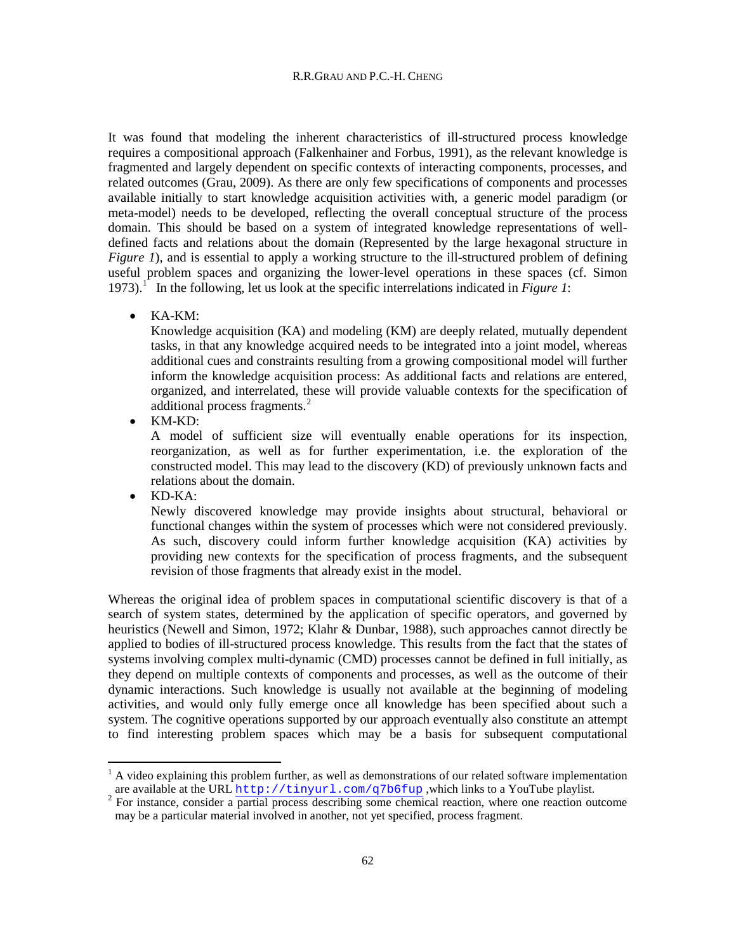It was found that modeling the inherent characteristics of ill-structured process knowledge requires a compositional approach (Falkenhainer and Forbus, 1991), as the relevant knowledge is fragmented and largely dependent on specific contexts of interacting components, processes, and related outcomes (Grau, 2009). As there are only few specifications of components and processes available initially to start knowledge acquisition activities with, a generic model paradigm (or meta-model) needs to be developed, reflecting the overall conceptual structure of the process domain. This should be based on a system of integrated knowledge representations of welldefined facts and relations about the domain (Represented by the large hexagonal structure in *[Figure 1](#page-2-0)*), and is essential to apply a working structure to the ill-structured problem of defining useful problem spaces and organizing the lower-level operations in these spaces (cf. Simon 1973). [1](#page-3-0) In the following, let us look at the specific interrelations indicated in *[Figure 1](#page-2-0)*:

• KA-KM:

Knowledge acquisition (KA) and modeling (KM) are deeply related, mutually dependent tasks, in that any knowledge acquired needs to be integrated into a joint model, whereas additional cues and constraints resulting from a growing compositional model will further inform the knowledge acquisition process: As additional facts and relations are entered, organized, and interrelated, these will provide valuable contexts for the specification of additional process fragments.<sup>[2](#page-3-1)</sup>

• KM-KD:

A model of sufficient size will eventually enable operations for its inspection, reorganization, as well as for further experimentation, i.e. the exploration of the constructed model. This may lead to the discovery (KD) of previously unknown facts and relations about the domain.

• KD-KA:

Newly discovered knowledge may provide insights about structural, behavioral or functional changes within the system of processes which were not considered previously. As such, discovery could inform further knowledge acquisition (KA) activities by providing new contexts for the specification of process fragments, and the subsequent revision of those fragments that already exist in the model.

Whereas the original idea of problem spaces in computational scientific discovery is that of a search of system states, determined by the application of specific operators, and governed by heuristics (Newell and Simon, 1972; Klahr & Dunbar, 1988), such approaches cannot directly be applied to bodies of ill-structured process knowledge. This results from the fact that the states of systems involving complex multi-dynamic (CMD) processes cannot be defined in full initially, as they depend on multiple contexts of components and processes, as well as the outcome of their dynamic interactions. Such knowledge is usually not available at the beginning of modeling activities, and would only fully emerge once all knowledge has been specified about such a system. The cognitive operations supported by our approach eventually also constitute an attempt to find interesting problem spaces which may be a basis for subsequent computational

<span id="page-3-0"></span> $<sup>1</sup>$  A video explaining this problem further, as well as demonstrations of our related software implementation</sup> are available at the URL  $\frac{http://tiny1.com/q7b6fup}{http://tinyurl.com/q7b6fup}$  $\frac{http://tiny1.com/q7b6fup}{http://tinyurl.com/q7b6fup}$  $\frac{http://tiny1.com/q7b6fup}{http://tinyurl.com/q7b6fup}$ , which links to a YouTube playlist.

<span id="page-3-1"></span>may be a particular material involved in another, not yet specified, process fragment.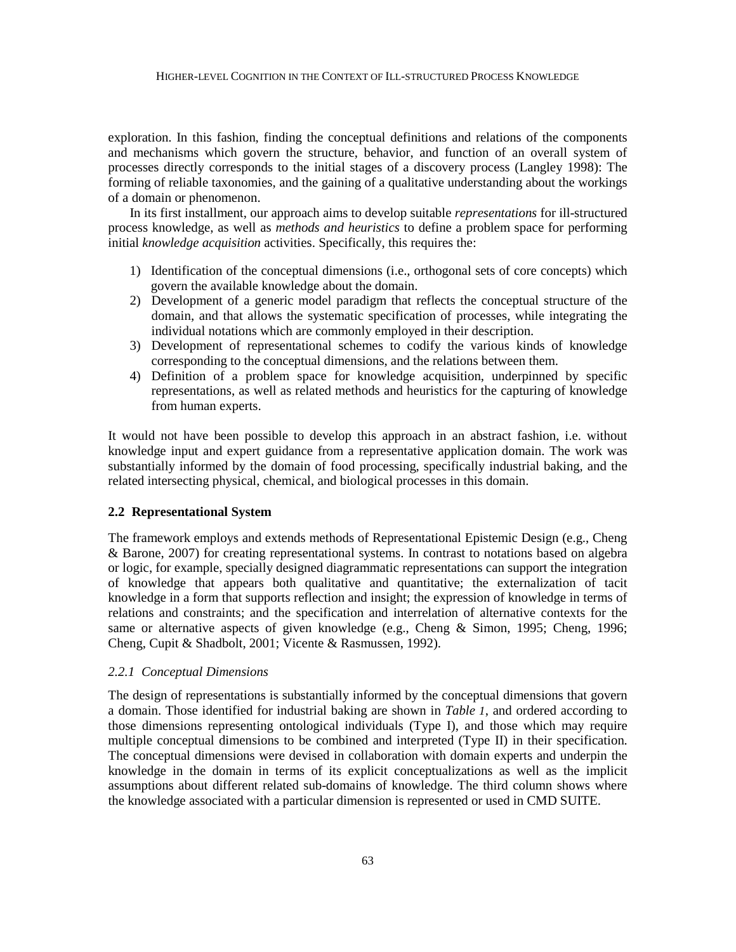exploration. In this fashion, finding the conceptual definitions and relations of the components and mechanisms which govern the structure, behavior, and function of an overall system of processes directly corresponds to the initial stages of a discovery process (Langley 1998): The forming of reliable taxonomies, and the gaining of a qualitative understanding about the workings of a domain or phenomenon.

In its first installment, our approach aims to develop suitable *representations* for ill-structured process knowledge, as well as *methods and heuristics* to define a problem space for performing initial *knowledge acquisition* activities. Specifically, this requires the:

- 1) Identification of the conceptual dimensions (i.e., orthogonal sets of core concepts) which govern the available knowledge about the domain.
- 2) Development of a generic model paradigm that reflects the conceptual structure of the domain, and that allows the systematic specification of processes, while integrating the individual notations which are commonly employed in their description.
- 3) Development of representational schemes to codify the various kinds of knowledge corresponding to the conceptual dimensions, and the relations between them.
- 4) Definition of a problem space for knowledge acquisition, underpinned by specific representations, as well as related methods and heuristics for the capturing of knowledge from human experts.

It would not have been possible to develop this approach in an abstract fashion, i.e. without knowledge input and expert guidance from a representative application domain. The work was substantially informed by the domain of food processing, specifically industrial baking, and the related intersecting physical, chemical, and biological processes in this domain.

# **2.2 Representational System**

The framework employs and extends methods of Representational Epistemic Design (e.g., Cheng & Barone, 2007) for creating representational systems. In contrast to notations based on algebra or logic, for example, specially designed diagrammatic representations can support the integration of knowledge that appears both qualitative and quantitative; the externalization of tacit knowledge in a form that supports reflection and insight; the expression of knowledge in terms of relations and constraints; and the specification and interrelation of alternative contexts for the same or alternative aspects of given knowledge (e.g., Cheng & Simon, 1995; Cheng, 1996; Cheng, Cupit & Shadbolt, 2001; Vicente & Rasmussen, 1992).

# *2.2.1 Conceptual Dimensions*

The design of representations is substantially informed by the conceptual dimensions that govern a domain. Those identified for industrial baking are shown in *[Table](#page-5-0) 1*, and ordered according to those dimensions representing ontological individuals (Type I), and those which may require multiple conceptual dimensions to be combined and interpreted (Type II) in their specification. The conceptual dimensions were devised in collaboration with domain experts and underpin the knowledge in the domain in terms of its explicit conceptualizations as well as the implicit assumptions about different related sub-domains of knowledge. The third column shows where the knowledge associated with a particular dimension is represented or used in CMD SUITE.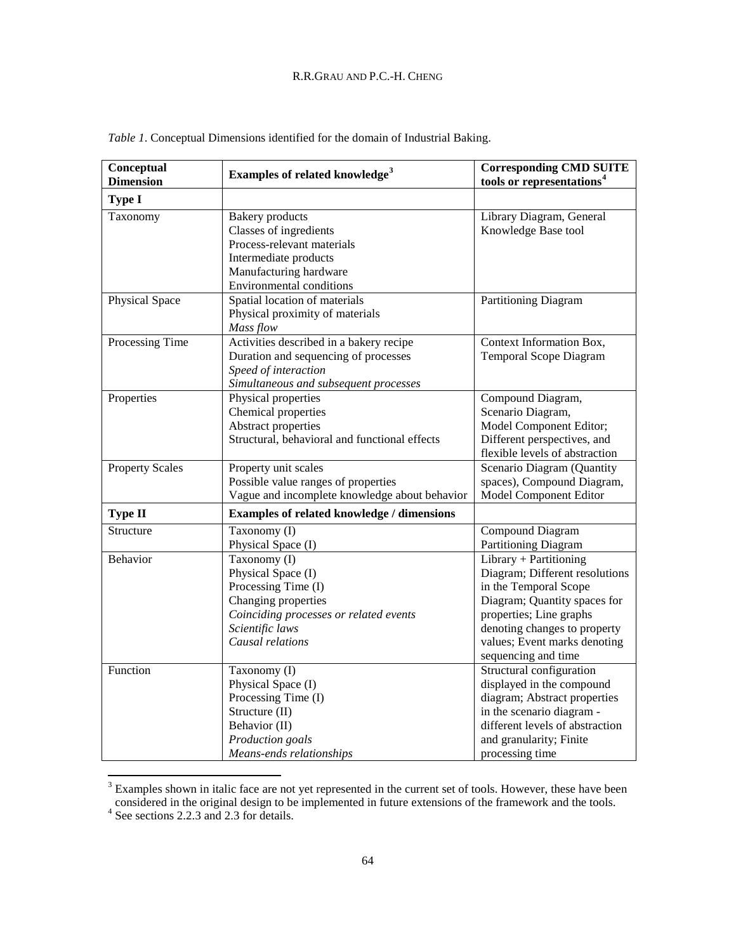| Conceptual<br><b>Dimension</b> | Examples of related knowledge <sup>3</sup>                                                                                                                           | <b>Corresponding CMD SUITE</b><br>tools or representations <sup>4</sup>                                                                                                                                                             |
|--------------------------------|----------------------------------------------------------------------------------------------------------------------------------------------------------------------|-------------------------------------------------------------------------------------------------------------------------------------------------------------------------------------------------------------------------------------|
| <b>Type I</b>                  |                                                                                                                                                                      |                                                                                                                                                                                                                                     |
| Taxonomy                       | <b>Bakery</b> products<br>Classes of ingredients<br>Process-relevant materials<br>Intermediate products<br>Manufacturing hardware<br><b>Environmental conditions</b> | Library Diagram, General<br>Knowledge Base tool                                                                                                                                                                                     |
| Physical Space                 | Spatial location of materials<br>Physical proximity of materials<br>Mass flow                                                                                        | Partitioning Diagram                                                                                                                                                                                                                |
| Processing Time                | Activities described in a bakery recipe<br>Duration and sequencing of processes<br>Speed of interaction<br>Simultaneous and subsequent processes                     | Context Information Box,<br>Temporal Scope Diagram                                                                                                                                                                                  |
| Properties                     | Physical properties<br>Chemical properties<br>Abstract properties<br>Structural, behavioral and functional effects                                                   | Compound Diagram,<br>Scenario Diagram,<br>Model Component Editor;<br>Different perspectives, and<br>flexible levels of abstraction                                                                                                  |
| <b>Property Scales</b>         | Property unit scales<br>Possible value ranges of properties<br>Vague and incomplete knowledge about behavior                                                         | Scenario Diagram (Quantity<br>spaces), Compound Diagram,<br>Model Component Editor                                                                                                                                                  |
| <b>Type II</b>                 | Examples of related knowledge / dimensions                                                                                                                           |                                                                                                                                                                                                                                     |
| Structure                      | Taxonomy (I)<br>Physical Space (I)                                                                                                                                   | Compound Diagram<br>Partitioning Diagram                                                                                                                                                                                            |
| Behavior                       | Taxonomy (I)<br>Physical Space (I)<br>Processing Time (I)<br>Changing properties<br>Coinciding processes or related events<br>Scientific laws<br>Causal relations    | Library + Partitioning<br>Diagram; Different resolutions<br>in the Temporal Scope<br>Diagram; Quantity spaces for<br>properties; Line graphs<br>denoting changes to property<br>values; Event marks denoting<br>sequencing and time |
| Function                       | Taxonomy (I)<br>Physical Space (I)<br>Processing Time (I)<br>Structure (II)<br>Behavior (II)<br>Production goals<br>Means-ends relationships                         | Structural configuration<br>displayed in the compound<br>diagram; Abstract properties<br>in the scenario diagram -<br>different levels of abstraction<br>and granularity; Finite<br>processing time                                 |

<span id="page-5-0"></span>*Table 1*. Conceptual Dimensions identified for the domain of Industrial Baking.

<span id="page-5-1"></span><sup>&</sup>lt;sup>3</sup> Examples shown in italic face are not yet represented in the current set of tools. However, these have been considered in the original design to be implemented in future extensions of the framework and the tools. <sup>4</sup> See sections 2.2.3 and 2.3 for details.

<span id="page-5-2"></span>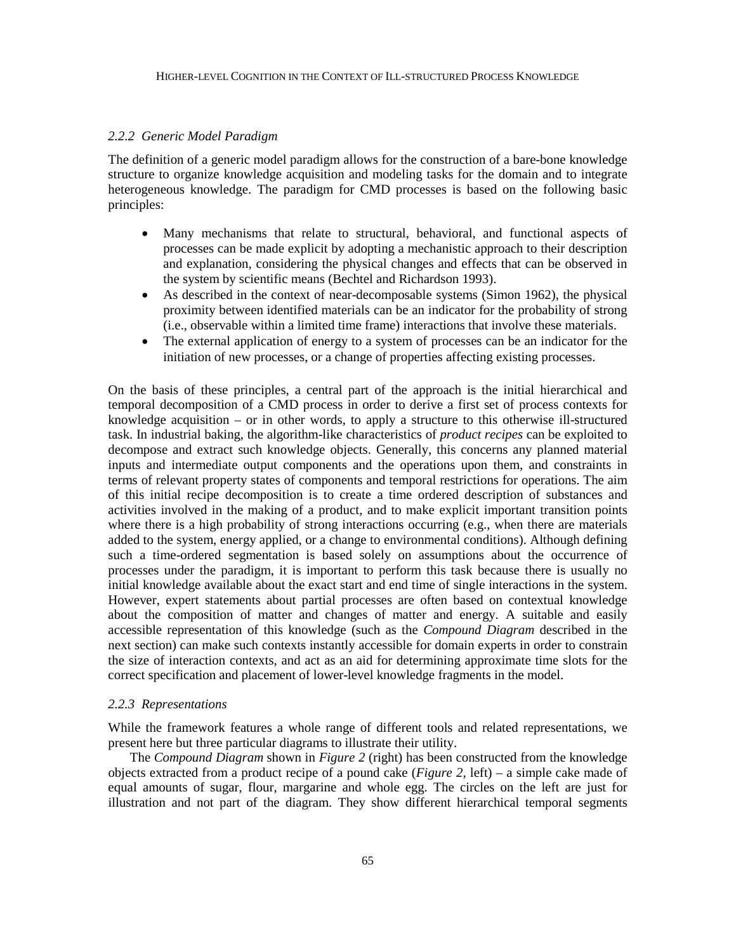#### *2.2.2 Generic Model Paradigm*

The definition of a generic model paradigm allows for the construction of a bare-bone knowledge structure to organize knowledge acquisition and modeling tasks for the domain and to integrate heterogeneous knowledge. The paradigm for CMD processes is based on the following basic principles:

- Many mechanisms that relate to structural, behavioral, and functional aspects of processes can be made explicit by adopting a mechanistic approach to their description and explanation, considering the physical changes and effects that can be observed in the system by scientific means (Bechtel and Richardson 1993).
- As described in the context of near-decomposable systems (Simon 1962), the physical proximity between identified materials can be an indicator for the probability of strong (i.e., observable within a limited time frame) interactions that involve these materials.
- The external application of energy to a system of processes can be an indicator for the initiation of new processes, or a change of properties affecting existing processes.

On the basis of these principles, a central part of the approach is the initial hierarchical and temporal decomposition of a CMD process in order to derive a first set of process contexts for knowledge acquisition – or in other words, to apply a structure to this otherwise ill-structured task. In industrial baking, the algorithm-like characteristics of *product recipes* can be exploited to decompose and extract such knowledge objects. Generally, this concerns any planned material inputs and intermediate output components and the operations upon them, and constraints in terms of relevant property states of components and temporal restrictions for operations. The aim of this initial recipe decomposition is to create a time ordered description of substances and activities involved in the making of a product, and to make explicit important transition points where there is a high probability of strong interactions occurring (e.g., when there are materials added to the system, energy applied, or a change to environmental conditions). Although defining such a time-ordered segmentation is based solely on assumptions about the occurrence of processes under the paradigm, it is important to perform this task because there is usually no initial knowledge available about the exact start and end time of single interactions in the system. However, expert statements about partial processes are often based on contextual knowledge about the composition of matter and changes of matter and energy. A suitable and easily accessible representation of this knowledge (such as the *Compound Diagram* described in the next section) can make such contexts instantly accessible for domain experts in order to constrain the size of interaction contexts, and act as an aid for determining approximate time slots for the correct specification and placement of lower-level knowledge fragments in the model.

#### *2.2.3 Representations*

While the framework features a whole range of different tools and related representations, we present here but three particular diagrams to illustrate their utility.

The *Compound Diagram* shown in *[Figure 2](#page-7-0)* (right) has been constructed from the knowledge objects extracted from a product recipe of a pound cake (*[Figure 2](#page-7-0)*, left) – a simple cake made of equal amounts of sugar, flour, margarine and whole egg. The circles on the left are just for illustration and not part of the diagram. They show different hierarchical temporal segments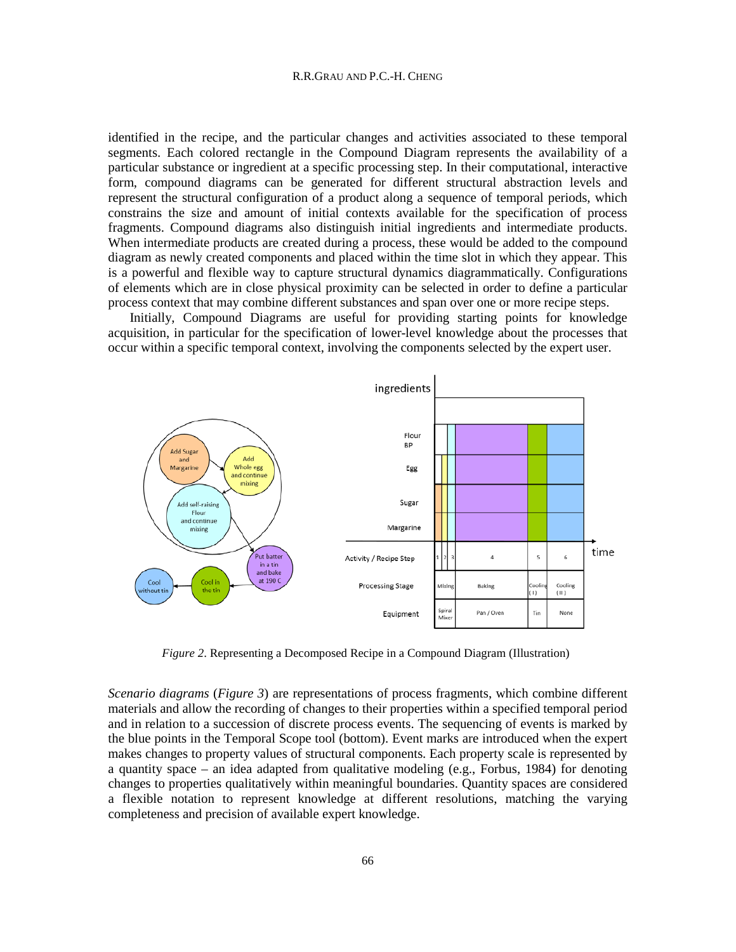#### R.R.GRAU AND P.C.-H. CHENG

identified in the recipe, and the particular changes and activities associated to these temporal segments. Each colored rectangle in the Compound Diagram represents the availability of a particular substance or ingredient at a specific processing step. In their computational, interactive form, compound diagrams can be generated for different structural abstraction levels and represent the structural configuration of a product along a sequence of temporal periods, which constrains the size and amount of initial contexts available for the specification of process fragments. Compound diagrams also distinguish initial ingredients and intermediate products. When intermediate products are created during a process, these would be added to the compound diagram as newly created components and placed within the time slot in which they appear. This is a powerful and flexible way to capture structural dynamics diagrammatically. Configurations of elements which are in close physical proximity can be selected in order to define a particular process context that may combine different substances and span over one or more recipe steps.

Initially, Compound Diagrams are useful for providing starting points for knowledge acquisition, in particular for the specification of lower-level knowledge about the processes that occur within a specific temporal context, involving the components selected by the expert user.



*Figure 2*. Representing a Decomposed Recipe in a Compound Diagram (Illustration)

<span id="page-7-0"></span>*Scenario diagrams* (*[Figure 3](#page-8-0)*) are representations of process fragments, which combine different materials and allow the recording of changes to their properties within a specified temporal period and in relation to a succession of discrete process events. The sequencing of events is marked by the blue points in the Temporal Scope tool (bottom). Event marks are introduced when the expert makes changes to property values of structural components. Each property scale is represented by a quantity space – an idea adapted from qualitative modeling (e.g., Forbus, 1984) for denoting changes to properties qualitatively within meaningful boundaries. Quantity spaces are considered a flexible notation to represent knowledge at different resolutions, matching the varying completeness and precision of available expert knowledge.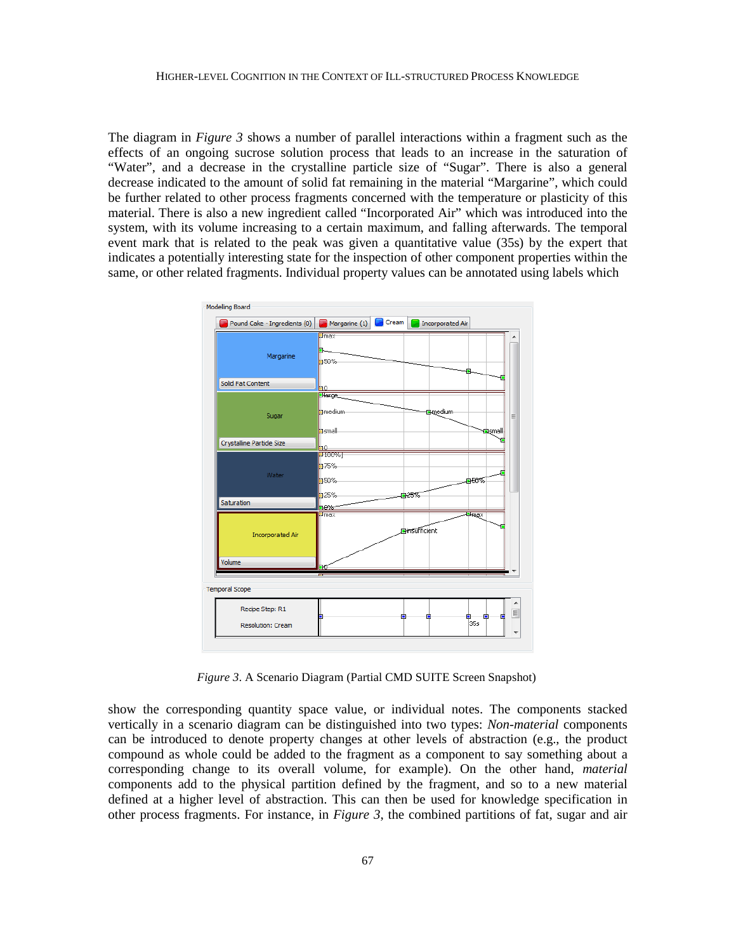The diagram in *[Figure 3](#page-8-0)* shows a number of parallel interactions within a fragment such as the effects of an ongoing sucrose solution process that leads to an increase in the saturation of "Water", and a decrease in the crystalline particle size of "Sugar". There is also a general decrease indicated to the amount of solid fat remaining in the material "Margarine", which could be further related to other process fragments concerned with the temperature or plasticity of this material. There is also a new ingredient called "Incorporated Air" which was introduced into the system, with its volume increasing to a certain maximum, and falling afterwards. The temporal event mark that is related to the peak was given a quantitative value (35s) by the expert that indicates a potentially interesting state for the inspection of other component properties within the same, or other related fragments. Individual property values can be annotated using labels which



*Figure 3*. A Scenario Diagram (Partial CMD SUITE Screen Snapshot)

<span id="page-8-0"></span>show the corresponding quantity space value, or individual notes. The components stacked vertically in a scenario diagram can be distinguished into two types: *Non-material* components can be introduced to denote property changes at other levels of abstraction (e.g., the product compound as whole could be added to the fragment as a component to say something about a corresponding change to its overall volume, for example). On the other hand, *material* components add to the physical partition defined by the fragment, and so to a new material defined at a higher level of abstraction. This can then be used for knowledge specification in other process fragments. For instance, in *[Figure 3](#page-8-0)*, the combined partitions of fat, sugar and air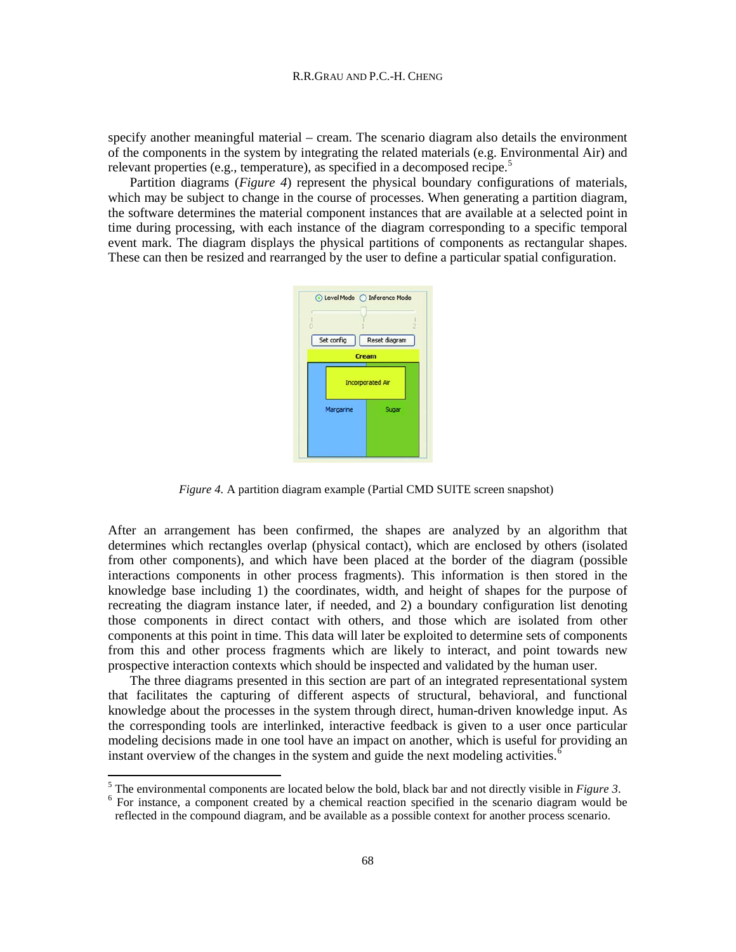specify another meaningful material – cream. The scenario diagram also details the environment of the components in the system by integrating the related materials (e.g. Environmental Air) and relevant properties (e.g., temperature), as specified in a decomposed recipe.<sup>[5](#page-9-1)</sup>

Partition diagrams (*[Figure 4](#page-9-0)*) represent the physical boundary configurations of materials, which may be subject to change in the course of processes. When generating a partition diagram, the software determines the material component instances that are available at a selected point in time during processing, with each instance of the diagram corresponding to a specific temporal event mark. The diagram displays the physical partitions of components as rectangular shapes. These can then be resized and rearranged by the user to define a particular spatial configuration.



*Figure 4.* A partition diagram example (Partial CMD SUITE screen snapshot)

<span id="page-9-0"></span>After an arrangement has been confirmed, the shapes are analyzed by an algorithm that determines which rectangles overlap (physical contact), which are enclosed by others (isolated from other components), and which have been placed at the border of the diagram (possible interactions components in other process fragments). This information is then stored in the knowledge base including 1) the coordinates, width, and height of shapes for the purpose of recreating the diagram instance later, if needed, and 2) a boundary configuration list denoting those components in direct contact with others, and those which are isolated from other components at this point in time. This data will later be exploited to determine sets of components from this and other process fragments which are likely to interact, and point towards new prospective interaction contexts which should be inspected and validated by the human user.

The three diagrams presented in this section are part of an integrated representational system that facilitates the capturing of different aspects of structural, behavioral, and functional knowledge about the processes in the system through direct, human-driven knowledge input. As the corresponding tools are interlinked, interactive feedback is given to a user once particular modeling decisions made in one tool have an impact on another, which is useful for providing an instant overview of the changes in the system and guide the next modeling activities.<sup>[6](#page-9-2)</sup>

<span id="page-9-2"></span><span id="page-9-1"></span> $5$  The environmental components are located below the bold, black bar and not directly visible in *[Figure 3](#page-8-0)*. <sup>6</sup> For instance, a component created by a chemical reaction specified in the scenario diagram would be reflected in the compound diagram, and be available as a possible context for another process scenario.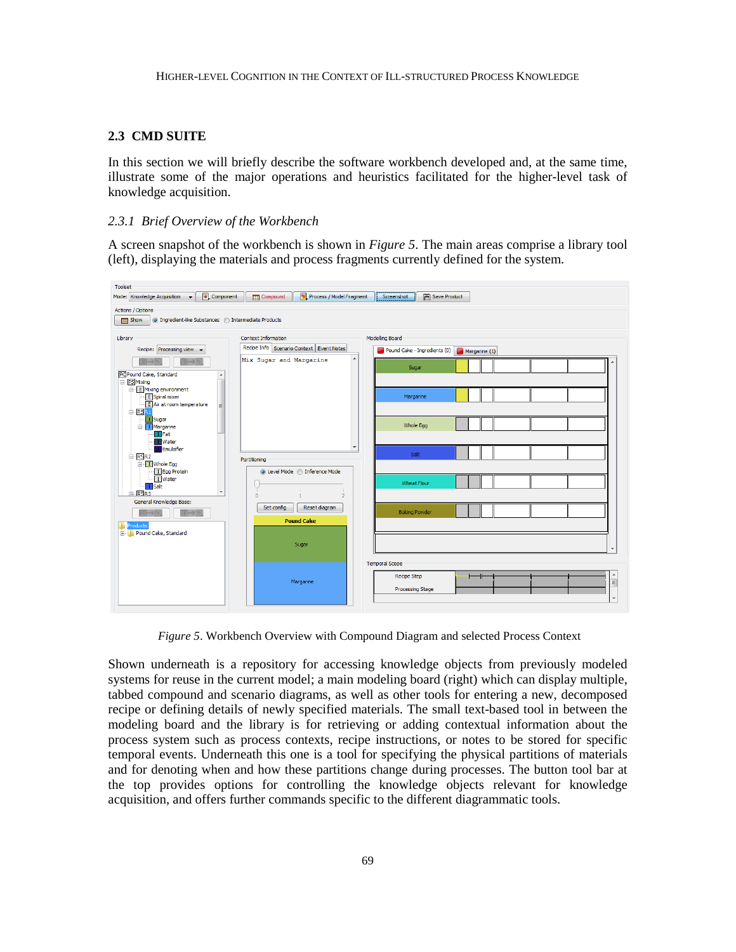#### **2.3 CMD SUITE**

In this section we will briefly describe the software workbench developed and, at the same time, illustrate some of the major operations and heuristics facilitated for the higher-level task of knowledge acquisition.

#### *2.3.1 Brief Overview of the Workbench*

A screen snapshot of the workbench is shown in *[Figure 5](#page-10-0)*. The main areas comprise a library tool (left), displaying the materials and process fragments currently defined for the system.



*Figure 5*. Workbench Overview with Compound Diagram and selected Process Context

<span id="page-10-0"></span>Shown underneath is a repository for accessing knowledge objects from previously modeled systems for reuse in the current model; a main modeling board (right) which can display multiple, tabbed compound and scenario diagrams, as well as other tools for entering a new, decomposed recipe or defining details of newly specified materials. The small text-based tool in between the modeling board and the library is for retrieving or adding contextual information about the process system such as process contexts, recipe instructions, or notes to be stored for specific temporal events. Underneath this one is a tool for specifying the physical partitions of materials and for denoting when and how these partitions change during processes. The button tool bar at the top provides options for controlling the knowledge objects relevant for knowledge acquisition, and offers further commands specific to the different diagrammatic tools.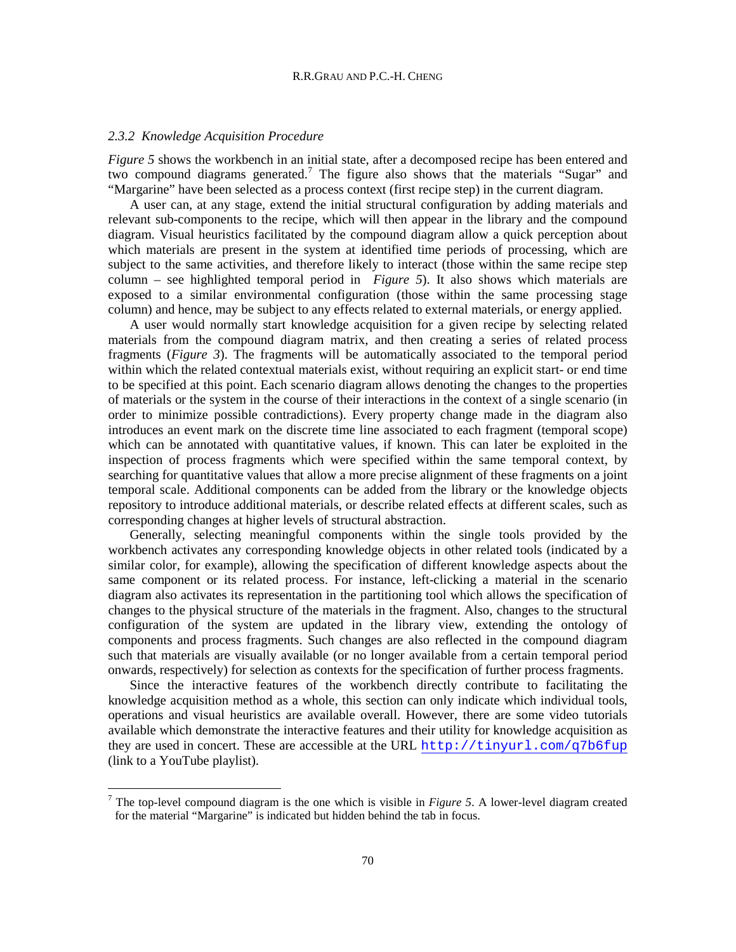#### *2.3.2 Knowledge Acquisition Procedure*

*[Figure 5](#page-10-0)* shows the workbench in an initial state, after a decomposed recipe has been entered and two compound diagrams generated.<sup>[7](#page-11-0)</sup> The figure also shows that the materials "Sugar" and "Margarine" have been selected as a process context (first recipe step) in the current diagram.

A user can, at any stage, extend the initial structural configuration by adding materials and relevant sub-components to the recipe, which will then appear in the library and the compound diagram. Visual heuristics facilitated by the compound diagram allow a quick perception about which materials are present in the system at identified time periods of processing, which are subject to the same activities, and therefore likely to interact (those within the same recipe step column – see highlighted temporal period in *[Figure 5](#page-10-0)*). It also shows which materials are exposed to a similar environmental configuration (those within the same processing stage column) and hence, may be subject to any effects related to external materials, or energy applied.

A user would normally start knowledge acquisition for a given recipe by selecting related materials from the compound diagram matrix, and then creating a series of related process fragments (*[Figure 3](#page-8-0)*). The fragments will be automatically associated to the temporal period within which the related contextual materials exist, without requiring an explicit start- or end time to be specified at this point. Each scenario diagram allows denoting the changes to the properties of materials or the system in the course of their interactions in the context of a single scenario (in order to minimize possible contradictions). Every property change made in the diagram also introduces an event mark on the discrete time line associated to each fragment (temporal scope) which can be annotated with quantitative values, if known. This can later be exploited in the inspection of process fragments which were specified within the same temporal context, by searching for quantitative values that allow a more precise alignment of these fragments on a joint temporal scale. Additional components can be added from the library or the knowledge objects repository to introduce additional materials, or describe related effects at different scales, such as corresponding changes at higher levels of structural abstraction.

Generally, selecting meaningful components within the single tools provided by the workbench activates any corresponding knowledge objects in other related tools (indicated by a similar color, for example), allowing the specification of different knowledge aspects about the same component or its related process. For instance, left-clicking a material in the scenario diagram also activates its representation in the partitioning tool which allows the specification of changes to the physical structure of the materials in the fragment. Also, changes to the structural configuration of the system are updated in the library view, extending the ontology of components and process fragments. Such changes are also reflected in the compound diagram such that materials are visually available (or no longer available from a certain temporal period onwards, respectively) for selection as contexts for the specification of further process fragments.

Since the interactive features of the workbench directly contribute to facilitating the knowledge acquisition method as a whole, this section can only indicate which individual tools, operations and visual heuristics are available overall. However, there are some video tutorials available which demonstrate the interactive features and their utility for knowledge acquisition as they are used in concert. These are accessible at the URL <http://tinyurl.com/q7b6fup> (link to a YouTube playlist).

<span id="page-11-0"></span><sup>&</sup>lt;sup>7</sup> The top-level compound diagram is the one which is visible in *[Figure 5](#page-10-0)*. A lower-level diagram created for the material "Margarine" is indicated but hidden behind the tab in focus.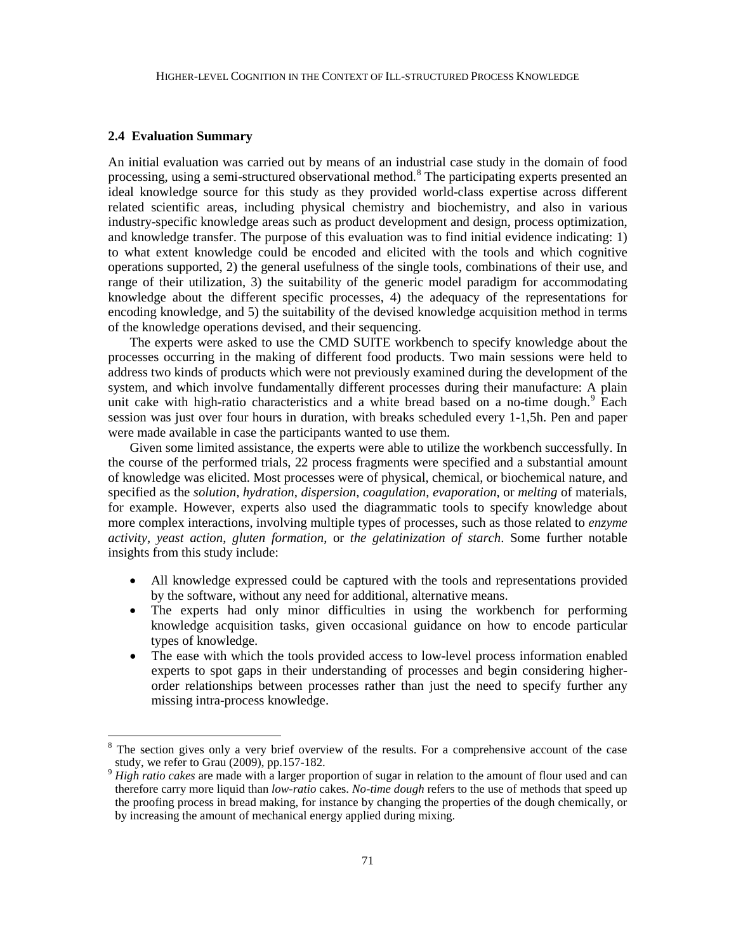#### **2.4 Evaluation Summary**

An initial evaluation was carried out by means of an industrial case study in the domain of food processing, using a semi-structured observational method.<sup>[8](#page-12-0)</sup> The participating experts presented an ideal knowledge source for this study as they provided world-class expertise across different related scientific areas, including physical chemistry and biochemistry, and also in various industry-specific knowledge areas such as product development and design, process optimization, and knowledge transfer. The purpose of this evaluation was to find initial evidence indicating: 1) to what extent knowledge could be encoded and elicited with the tools and which cognitive operations supported, 2) the general usefulness of the single tools, combinations of their use, and range of their utilization, 3) the suitability of the generic model paradigm for accommodating knowledge about the different specific processes, 4) the adequacy of the representations for encoding knowledge, and 5) the suitability of the devised knowledge acquisition method in terms of the knowledge operations devised, and their sequencing.

The experts were asked to use the CMD SUITE workbench to specify knowledge about the processes occurring in the making of different food products. Two main sessions were held to address two kinds of products which were not previously examined during the development of the system, and which involve fundamentally different processes during their manufacture: A plain unit cake with high-ratio characteristics and a white bread based on a no-time dough. $9$  Each session was just over four hours in duration, with breaks scheduled every 1-1,5h. Pen and paper were made available in case the participants wanted to use them.

Given some limited assistance, the experts were able to utilize the workbench successfully. In the course of the performed trials, 22 process fragments were specified and a substantial amount of knowledge was elicited. Most processes were of physical, chemical, or biochemical nature, and specified as the *solution*, *hydration*, *dispersion*, *coagulation*, *evaporation*, or *melting* of materials, for example. However, experts also used the diagrammatic tools to specify knowledge about more complex interactions, involving multiple types of processes, such as those related to *enzyme activity*, *yeast action*, *gluten formation*, or *the gelatinization of starch*. Some further notable insights from this study include:

- All knowledge expressed could be captured with the tools and representations provided by the software, without any need for additional, alternative means.
- The experts had only minor difficulties in using the workbench for performing knowledge acquisition tasks, given occasional guidance on how to encode particular types of knowledge.
- The ease with which the tools provided access to low-level process information enabled experts to spot gaps in their understanding of processes and begin considering higherorder relationships between processes rather than just the need to specify further any missing intra-process knowledge.

<span id="page-12-0"></span>The section gives only a very brief overview of the results. For a comprehensive account of the case study, we refer to Grau (2009), pp.157-182.

<span id="page-12-1"></span>High ratio cakes are made with a larger proportion of sugar in relation to the amount of flour used and can therefore carry more liquid than *low-ratio* cakes. *No-time dough* refers to the use of methods that speed up the proofing process in bread making, for instance by changing the properties of the dough chemically, or by increasing the amount of mechanical energy applied during mixing.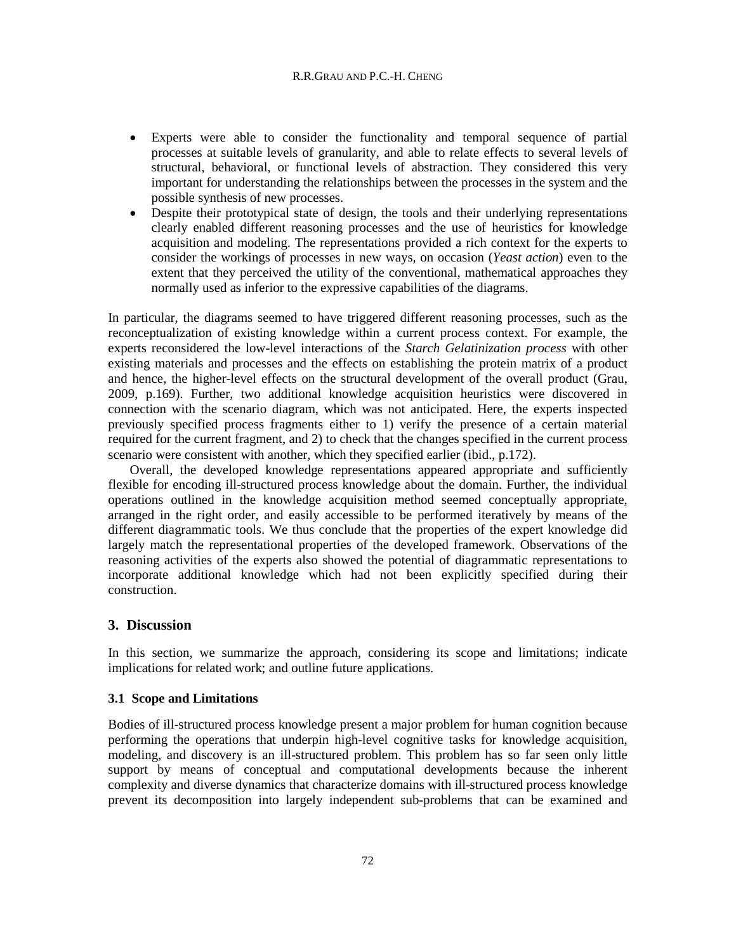#### R.R.GRAU AND P.C.-H. CHENG

- Experts were able to consider the functionality and temporal sequence of partial processes at suitable levels of granularity, and able to relate effects to several levels of structural, behavioral, or functional levels of abstraction. They considered this very important for understanding the relationships between the processes in the system and the possible synthesis of new processes.
- Despite their prototypical state of design, the tools and their underlying representations clearly enabled different reasoning processes and the use of heuristics for knowledge acquisition and modeling. The representations provided a rich context for the experts to consider the workings of processes in new ways, on occasion (*Yeast action*) even to the extent that they perceived the utility of the conventional, mathematical approaches they normally used as inferior to the expressive capabilities of the diagrams.

In particular, the diagrams seemed to have triggered different reasoning processes, such as the reconceptualization of existing knowledge within a current process context. For example, the experts reconsidered the low-level interactions of the *Starch Gelatinization process* with other existing materials and processes and the effects on establishing the protein matrix of a product and hence, the higher-level effects on the structural development of the overall product (Grau, 2009, p.169). Further, two additional knowledge acquisition heuristics were discovered in connection with the scenario diagram, which was not anticipated. Here, the experts inspected previously specified process fragments either to 1) verify the presence of a certain material required for the current fragment, and 2) to check that the changes specified in the current process scenario were consistent with another, which they specified earlier (ibid., p.172).

Overall, the developed knowledge representations appeared appropriate and sufficiently flexible for encoding ill-structured process knowledge about the domain. Further, the individual operations outlined in the knowledge acquisition method seemed conceptually appropriate, arranged in the right order, and easily accessible to be performed iteratively by means of the different diagrammatic tools. We thus conclude that the properties of the expert knowledge did largely match the representational properties of the developed framework. Observations of the reasoning activities of the experts also showed the potential of diagrammatic representations to incorporate additional knowledge which had not been explicitly specified during their construction.

# **3. Discussion**

In this section, we summarize the approach, considering its scope and limitations; indicate implications for related work; and outline future applications.

## **3.1 Scope and Limitations**

Bodies of ill-structured process knowledge present a major problem for human cognition because performing the operations that underpin high-level cognitive tasks for knowledge acquisition, modeling, and discovery is an ill-structured problem. This problem has so far seen only little support by means of conceptual and computational developments because the inherent complexity and diverse dynamics that characterize domains with ill-structured process knowledge prevent its decomposition into largely independent sub-problems that can be examined and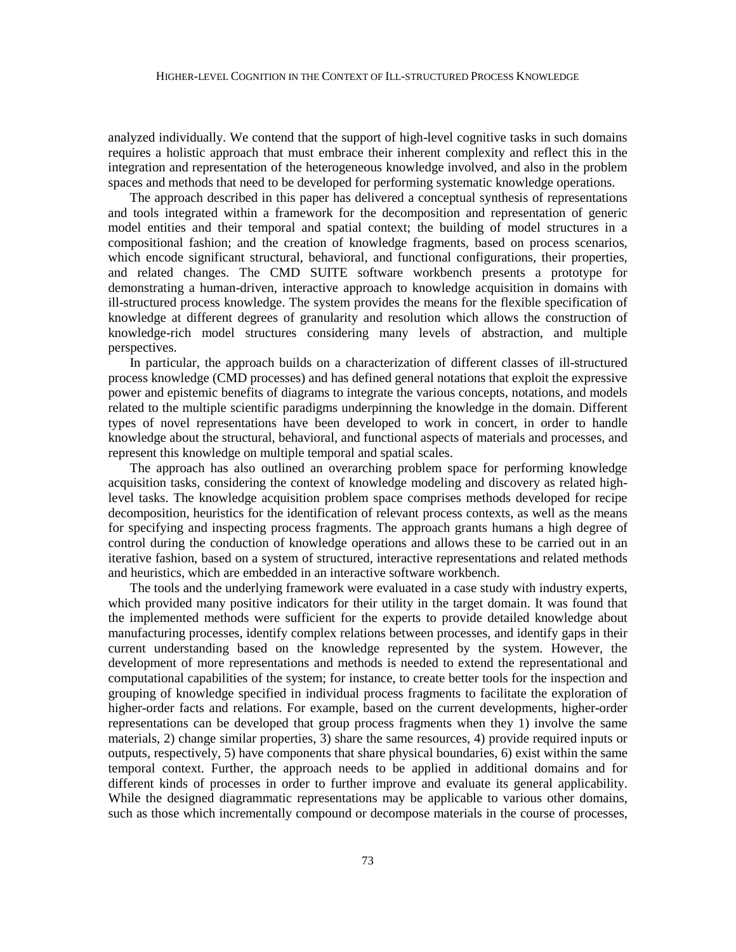analyzed individually. We contend that the support of high-level cognitive tasks in such domains requires a holistic approach that must embrace their inherent complexity and reflect this in the integration and representation of the heterogeneous knowledge involved, and also in the problem spaces and methods that need to be developed for performing systematic knowledge operations.

The approach described in this paper has delivered a conceptual synthesis of representations and tools integrated within a framework for the decomposition and representation of generic model entities and their temporal and spatial context; the building of model structures in a compositional fashion; and the creation of knowledge fragments, based on process scenarios, which encode significant structural, behavioral, and functional configurations, their properties, and related changes. The CMD SUITE software workbench presents a prototype for demonstrating a human-driven, interactive approach to knowledge acquisition in domains with ill-structured process knowledge. The system provides the means for the flexible specification of knowledge at different degrees of granularity and resolution which allows the construction of knowledge-rich model structures considering many levels of abstraction, and multiple perspectives.

In particular, the approach builds on a characterization of different classes of ill-structured process knowledge (CMD processes) and has defined general notations that exploit the expressive power and epistemic benefits of diagrams to integrate the various concepts, notations, and models related to the multiple scientific paradigms underpinning the knowledge in the domain. Different types of novel representations have been developed to work in concert, in order to handle knowledge about the structural, behavioral, and functional aspects of materials and processes, and represent this knowledge on multiple temporal and spatial scales.

The approach has also outlined an overarching problem space for performing knowledge acquisition tasks, considering the context of knowledge modeling and discovery as related highlevel tasks. The knowledge acquisition problem space comprises methods developed for recipe decomposition, heuristics for the identification of relevant process contexts, as well as the means for specifying and inspecting process fragments. The approach grants humans a high degree of control during the conduction of knowledge operations and allows these to be carried out in an iterative fashion, based on a system of structured, interactive representations and related methods and heuristics, which are embedded in an interactive software workbench.

The tools and the underlying framework were evaluated in a case study with industry experts, which provided many positive indicators for their utility in the target domain. It was found that the implemented methods were sufficient for the experts to provide detailed knowledge about manufacturing processes, identify complex relations between processes, and identify gaps in their current understanding based on the knowledge represented by the system. However, the development of more representations and methods is needed to extend the representational and computational capabilities of the system; for instance, to create better tools for the inspection and grouping of knowledge specified in individual process fragments to facilitate the exploration of higher-order facts and relations. For example, based on the current developments, higher-order representations can be developed that group process fragments when they 1) involve the same materials, 2) change similar properties, 3) share the same resources, 4) provide required inputs or outputs, respectively, 5) have components that share physical boundaries, 6) exist within the same temporal context. Further, the approach needs to be applied in additional domains and for different kinds of processes in order to further improve and evaluate its general applicability. While the designed diagrammatic representations may be applicable to various other domains, such as those which incrementally compound or decompose materials in the course of processes,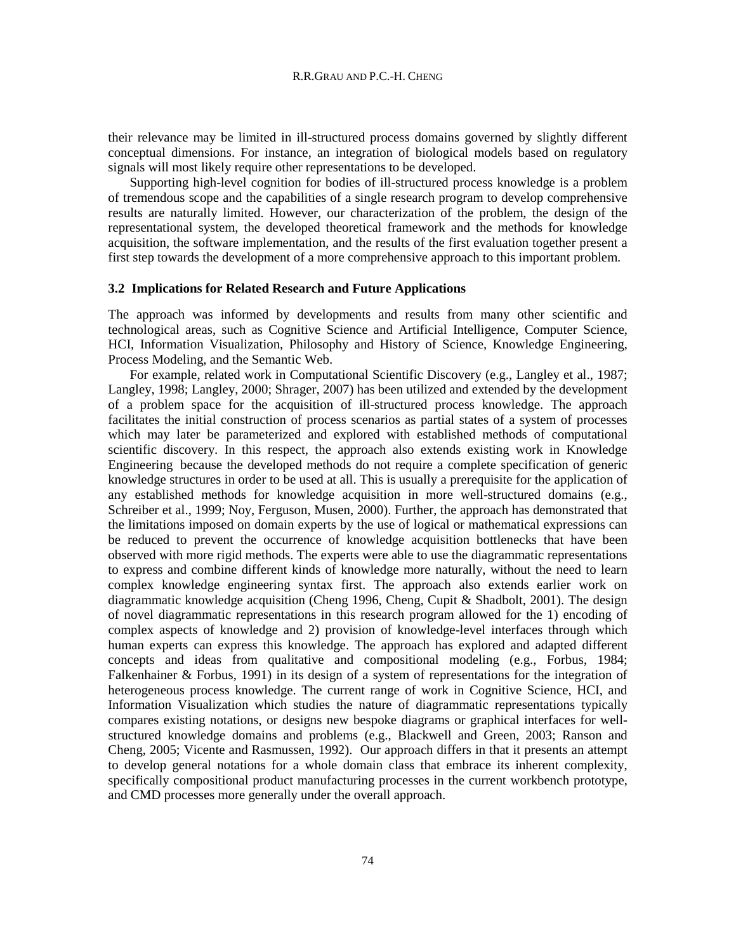their relevance may be limited in ill-structured process domains governed by slightly different conceptual dimensions. For instance, an integration of biological models based on regulatory signals will most likely require other representations to be developed.

Supporting high-level cognition for bodies of ill-structured process knowledge is a problem of tremendous scope and the capabilities of a single research program to develop comprehensive results are naturally limited. However, our characterization of the problem, the design of the representational system, the developed theoretical framework and the methods for knowledge acquisition, the software implementation, and the results of the first evaluation together present a first step towards the development of a more comprehensive approach to this important problem.

#### **3.2 Implications for Related Research and Future Applications**

The approach was informed by developments and results from many other scientific and technological areas, such as Cognitive Science and Artificial Intelligence, Computer Science, HCI, Information Visualization, Philosophy and History of Science, Knowledge Engineering, Process Modeling, and the Semantic Web.

For example, related work in Computational Scientific Discovery (e.g., Langley et al., 1987; Langley, 1998; Langley, 2000; Shrager, 2007) has been utilized and extended by the development of a problem space for the acquisition of ill-structured process knowledge. The approach facilitates the initial construction of process scenarios as partial states of a system of processes which may later be parameterized and explored with established methods of computational scientific discovery. In this respect, the approach also extends existing work in Knowledge Engineering because the developed methods do not require a complete specification of generic knowledge structures in order to be used at all. This is usually a prerequisite for the application of any established methods for knowledge acquisition in more well-structured domains (e.g., Schreiber et al., 1999; Noy, Ferguson, Musen, 2000). Further, the approach has demonstrated that the limitations imposed on domain experts by the use of logical or mathematical expressions can be reduced to prevent the occurrence of knowledge acquisition bottlenecks that have been observed with more rigid methods. The experts were able to use the diagrammatic representations to express and combine different kinds of knowledge more naturally, without the need to learn complex knowledge engineering syntax first. The approach also extends earlier work on diagrammatic knowledge acquisition (Cheng 1996, Cheng, Cupit & Shadbolt, 2001). The design of novel diagrammatic representations in this research program allowed for the 1) encoding of complex aspects of knowledge and 2) provision of knowledge-level interfaces through which human experts can express this knowledge. The approach has explored and adapted different concepts and ideas from qualitative and compositional modeling (e.g., Forbus, 1984; Falkenhainer & Forbus, 1991) in its design of a system of representations for the integration of heterogeneous process knowledge. The current range of work in Cognitive Science, HCI, and Information Visualization which studies the nature of diagrammatic representations typically compares existing notations, or designs new bespoke diagrams or graphical interfaces for wellstructured knowledge domains and problems (e.g., Blackwell and Green, 2003; Ranson and Cheng, 2005; Vicente and Rasmussen, 1992). Our approach differs in that it presents an attempt to develop general notations for a whole domain class that embrace its inherent complexity, specifically compositional product manufacturing processes in the current workbench prototype, and CMD processes more generally under the overall approach.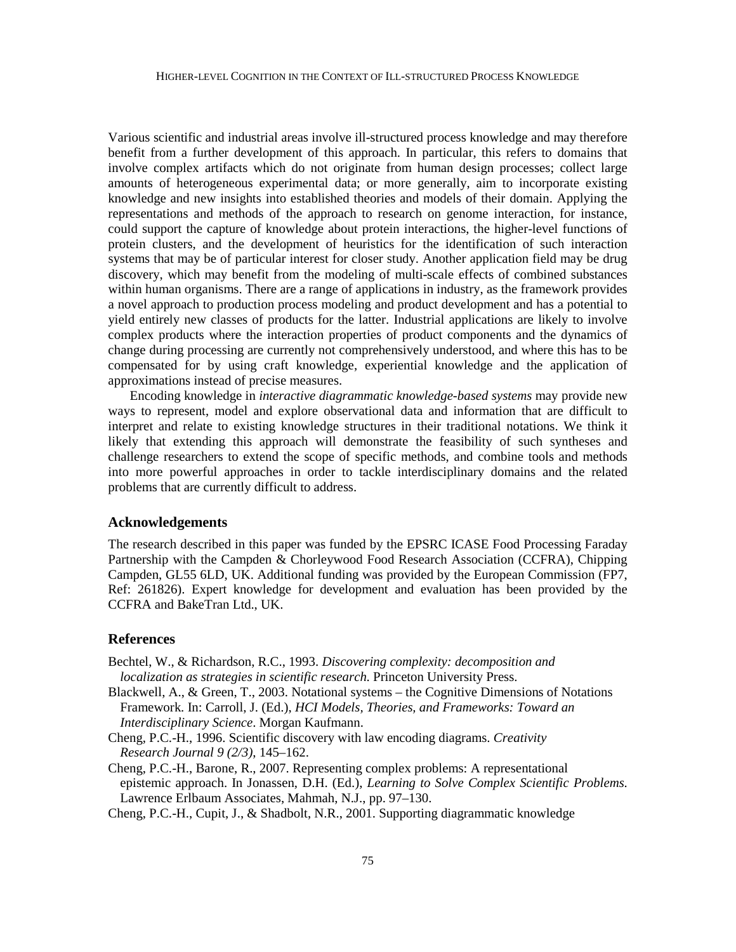Various scientific and industrial areas involve ill-structured process knowledge and may therefore benefit from a further development of this approach. In particular, this refers to domains that involve complex artifacts which do not originate from human design processes; collect large amounts of heterogeneous experimental data; or more generally, aim to incorporate existing knowledge and new insights into established theories and models of their domain. Applying the representations and methods of the approach to research on genome interaction, for instance, could support the capture of knowledge about protein interactions, the higher-level functions of protein clusters, and the development of heuristics for the identification of such interaction systems that may be of particular interest for closer study. Another application field may be drug discovery, which may benefit from the modeling of multi-scale effects of combined substances within human organisms. There are a range of applications in industry, as the framework provides a novel approach to production process modeling and product development and has a potential to yield entirely new classes of products for the latter. Industrial applications are likely to involve complex products where the interaction properties of product components and the dynamics of change during processing are currently not comprehensively understood, and where this has to be compensated for by using craft knowledge, experiential knowledge and the application of approximations instead of precise measures.

Encoding knowledge in *interactive diagrammatic knowledge-based systems* may provide new ways to represent, model and explore observational data and information that are difficult to interpret and relate to existing knowledge structures in their traditional notations. We think it likely that extending this approach will demonstrate the feasibility of such syntheses and challenge researchers to extend the scope of specific methods, and combine tools and methods into more powerful approaches in order to tackle interdisciplinary domains and the related problems that are currently difficult to address.

# **Acknowledgements**

The research described in this paper was funded by the EPSRC ICASE Food Processing Faraday Partnership with the Campden & Chorleywood Food Research Association (CCFRA), Chipping Campden, GL55 6LD, UK. Additional funding was provided by the European Commission (FP7, Ref: 261826). Expert knowledge for development and evaluation has been provided by the CCFRA and BakeTran Ltd., UK.

## **References**

- Bechtel, W., & Richardson, R.C., 1993. *Discovering complexity: decomposition and localization as strategies in scientific research*. Princeton University Press.
- Blackwell, A., & Green, T., 2003. Notational systems the Cognitive Dimensions of Notations Framework. In: Carroll, J. (Ed.), *HCI Models, Theories, and Frameworks: Toward an Interdisciplinary Science*. Morgan Kaufmann.
- Cheng, P.C.-H., 1996. Scientific discovery with law encoding diagrams. *Creativity Research Journal 9 (2/3)*, 145–162.
- Cheng, P.C.-H., Barone, R., 2007. Representing complex problems: A representational epistemic approach. In Jonassen, D.H. (Ed.), *Learning to Solve Complex Scientific Problems*. Lawrence Erlbaum Associates, Mahmah, N.J., pp. 97–130.

Cheng, P.C.-H., Cupit, J., & Shadbolt, N.R., 2001. Supporting diagrammatic knowledge